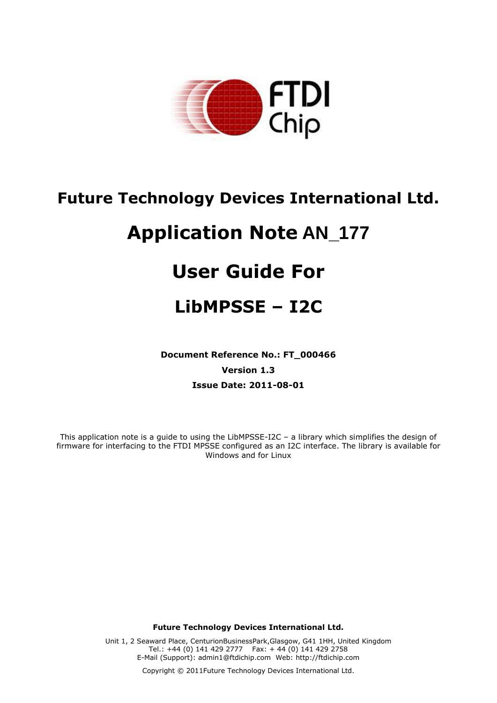

## **Future Technology Devices International Ltd.**

# **Application Note AN\_177**

# **User Guide For**

## **LibMPSSE – I2C**

**Document Reference No.: FT\_000466 Version 1.3 Issue Date: 2011-08-01**

This application note is a guide to using the LibMPSSE-I2C – a library which simplifies the design of firmware for interfacing to the FTDI MPSSE configured as an I2C interface. The library is available for Windows and for Linux

**Future Technology Devices International Ltd.**

Unit 1, 2 Seaward Place, CenturionBusinessPark,Glasgow, G41 1HH, United Kingdom Tel.: +44 (0) 141 429 2777 Fax: + 44 (0) 141 429 2758 E-Mail (Support): admin1@ftdichip.com Web: http://ftdichip.com

Copyright © 2011Future Technology Devices International Ltd.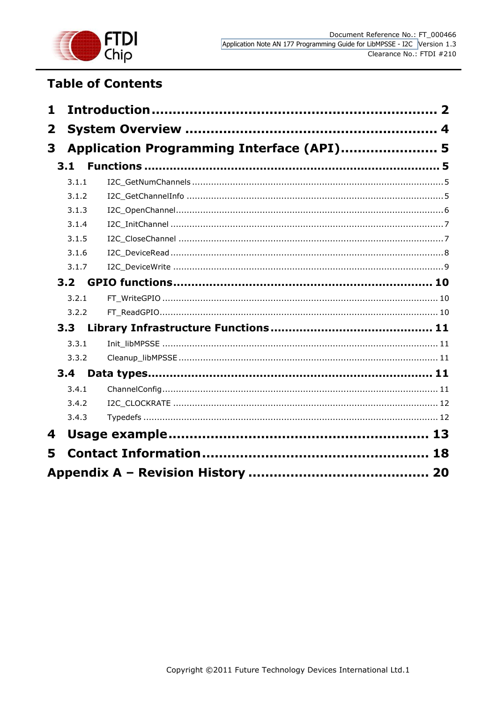

## **Table of Contents**

| 1 |                  |                                           |  |
|---|------------------|-------------------------------------------|--|
| 2 |                  |                                           |  |
| 3 |                  | Application Programming Interface (API) 5 |  |
|   | 3.1              |                                           |  |
|   | 3.1.1            |                                           |  |
|   | 3.1.2            |                                           |  |
|   | 3.1.3            |                                           |  |
|   | 3.1.4            |                                           |  |
|   | 3.1.5            |                                           |  |
|   | 3.1.6            |                                           |  |
|   | 3.1.7            |                                           |  |
|   | 3.2 <sub>2</sub> |                                           |  |
|   | 3.2.1            |                                           |  |
|   | 3.2.2            |                                           |  |
|   | 3.3              |                                           |  |
|   | 3.3.1            |                                           |  |
|   | 3.3.2            |                                           |  |
|   | 3.4              |                                           |  |
|   | 3.4.1            |                                           |  |
|   | 3.4.2            |                                           |  |
|   | 3.4.3            |                                           |  |
| 4 |                  |                                           |  |
| 5 |                  |                                           |  |
|   |                  |                                           |  |
|   |                  |                                           |  |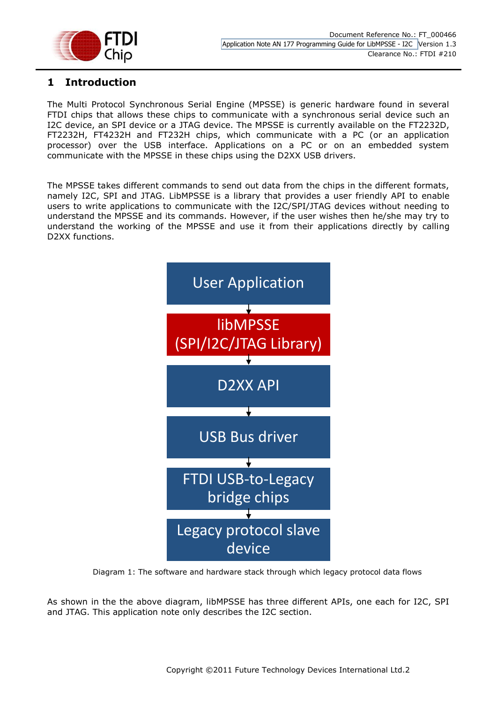

## <span id="page-2-0"></span>**1 Introduction**

The Multi Protocol Synchronous Serial Engine (MPSSE) is generic hardware found in several FTDI chips that allows these chips to communicate with a synchronous serial device such an I2C device, an SPI device or a JTAG device. The MPSSE is currently available on the FT2232D, FT2232H, FT4232H and FT232H chips, which communicate with a PC (or an application processor) over the USB interface. Applications on a PC or on an embedded system communicate with the MPSSE in these chips using the D2XX USB drivers.

The MPSSE takes different commands to send out data from the chips in the different formats, namely I2C, SPI and JTAG. LibMPSSE is a library that provides a user friendly API to enable users to write applications to communicate with the I2C/SPI/JTAG devices without needing to understand the MPSSE and its commands. However, if the user wishes then he/she may try to understand the working of the MPSSE and use it from their applications directly by calling D2XX functions.



Diagram 1: The software and hardware stack through which legacy protocol data flows

As shown in the the above diagram, libMPSSE has three different APIs, one each for I2C, SPI and JTAG. This application note only describes the I2C section.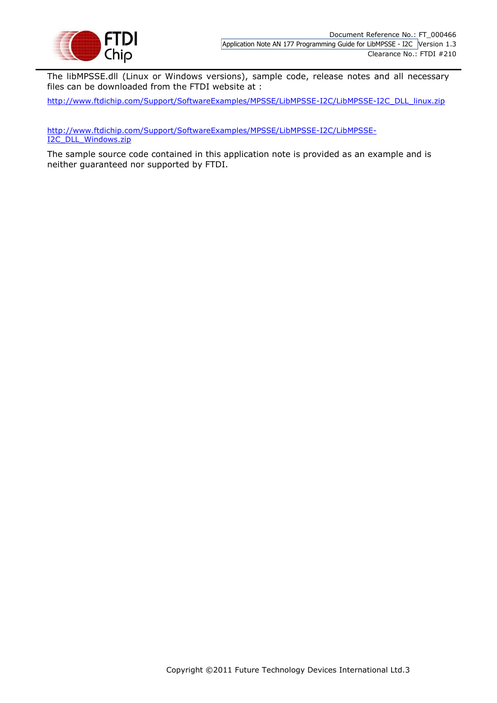

The libMPSSE.dll (Linux or Windows versions), sample code, release notes and all necessary files can be downloaded from the FTDI website at :

[http://www.ftdichip.com/Support/SoftwareExamples/MPSSE/LibMPSSE-I2C/LibMPSSE-I2C\\_DLL\\_linux.zip](http://www.ftdichip.com/Support/SoftwareExamples/MPSSE/LibMPSSE-I2C/LibMPSSE-I2C_DLL_linux.zip)

[http://www.ftdichip.com/Support/SoftwareExamples/MPSSE/LibMPSSE-I2C/LibMPSSE-](http://www.ftdichip.com/Support/SoftwareExamples/MPSSE/LibMPSSE-I2C/LibMPSSE-I2C_DLL_Windows.zip)[I2C\\_DLL\\_Windows.zip](http://www.ftdichip.com/Support/SoftwareExamples/MPSSE/LibMPSSE-I2C/LibMPSSE-I2C_DLL_Windows.zip)

The sample source code contained in this application note is provided as an example and is neither guaranteed nor supported by FTDI.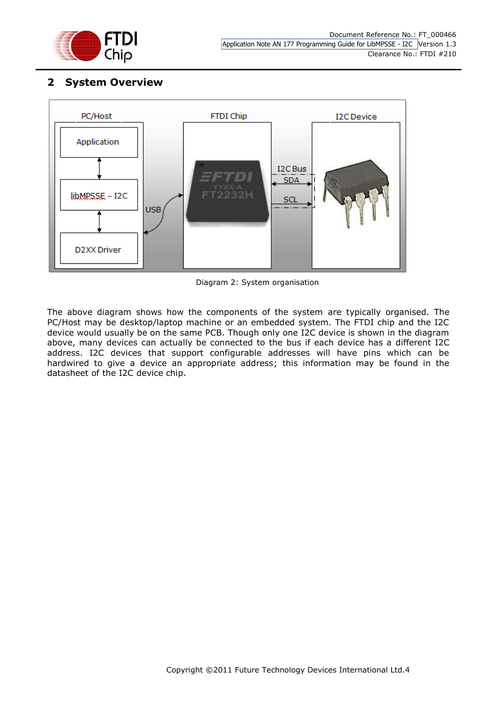

## <span id="page-4-0"></span>**2 System Overview**



Diagram 2: System organisation

The above diagram shows how the components of the system are typically organised. The PC/Host may be desktop/laptop machine or an embedded system. The FTDI chip and the I2C device would usually be on the same PCB. Though only one I2C device is shown in the diagram above, many devices can actually be connected to the bus if each device has a different I2C address. I2C devices that support configurable addresses will have pins which can be hardwired to give a device an appropriate address; this information may be found in the datasheet of the I2C device chip.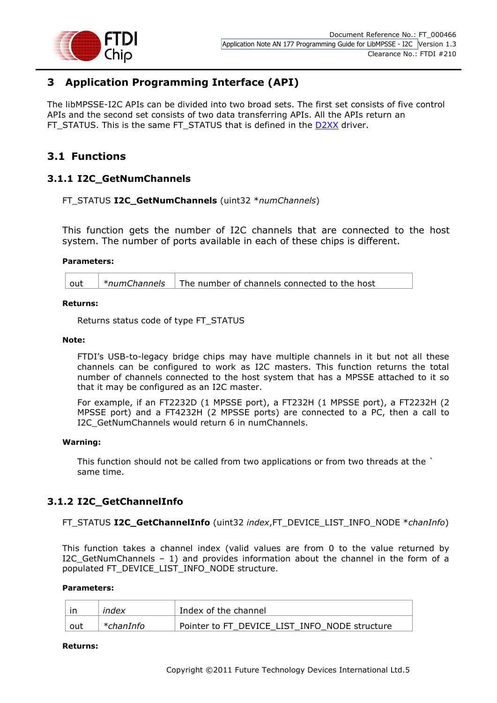

## <span id="page-5-0"></span>**3 Application Programming Interface (API)**

The libMPSSE-I2C APIs can be divided into two broad sets. The first set consists of five control APIs and the second set consists of two data transferring APIs. All the APIs return an FT\_STATUS. This is the same FT\_STATUS that is defined in the [D2XX](http://www.ftdichip.com/Support/Documents/ProgramGuides/D2XX_Programmer) driver.

## <span id="page-5-1"></span>**3.1 Functions**

## <span id="page-5-2"></span>**3.1.1 I2C\_GetNumChannels**

#### FT\_STATUS **I2C\_GetNumChannels** (uint32 \**numChannels*)

This function gets the number of I2C channels that are connected to the host system. The number of ports available in each of these chips is different.

#### **Parameters:**

out *\*numChannels* The number of channels connected to the host

#### **Returns:**

Returns status code of type FT\_STATUS

#### **Note:**

FTDI's USB-to-legacy bridge chips may have multiple channels in it but not all these channels can be configured to work as I2C masters. This function returns the total number of channels connected to the host system that has a MPSSE attached to it so that it may be configured as an I2C master.

For example, if an FT2232D (1 MPSSE port), a FT232H (1 MPSSE port), a FT2232H (2 MPSSE port) and a FT4232H (2 MPSSE ports) are connected to a PC, then a call to I2C\_GetNumChannels would return 6 in numChannels.

#### **Warning:**

This function should not be called from two applications or from two threads at the ` same time.

## <span id="page-5-3"></span>**3.1.2 I2C\_GetChannelInfo**

#### FT\_STATUS **I2C\_GetChannelInfo** (uint32 *index*,FT\_DEVICE\_LIST\_INFO\_NODE \**chanInfo*)

This function takes a channel index (valid values are from 0 to the value returned by I2C\_GetNumChannels – 1) and provides information about the channel in the form of a populated FT\_DEVICE\_LIST\_INFO\_NODE structure.

#### **Parameters:**

|     | index     | Index of the channel                          |  |
|-----|-----------|-----------------------------------------------|--|
| out | *chanInfo | Pointer to FT DEVICE LIST INFO NODE structure |  |

#### **Returns:**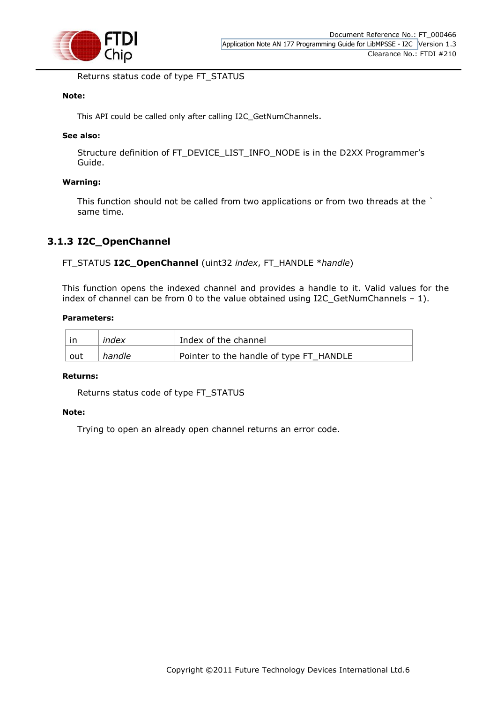

Returns status code of type FT\_STATUS

#### **Note:**

This API could be called only after calling I2C\_GetNumChannels.

#### **See also:**

Structure definition of FT\_DEVICE\_LIST\_INFO\_NODE is in the D2XX Programmer's Guide.

#### **Warning:**

This function should not be called from two applications or from two threads at the ` same time.

### <span id="page-6-0"></span>**3.1.3 I2C\_OpenChannel**

#### FT\_STATUS **I2C\_OpenChannel** (uint32 *index*, FT\_HANDLE \**handle*)

This function opens the indexed channel and provides a handle to it. Valid values for the index of channel can be from 0 to the value obtained using I2C\_GetNumChannels – 1).

#### **Parameters:**

|     | index  | Index of the channel                    |  |
|-----|--------|-----------------------------------------|--|
| out | handle | Pointer to the handle of type FT_HANDLE |  |

#### **Returns:**

Returns status code of type FT\_STATUS

#### **Note:**

Trying to open an already open channel returns an error code.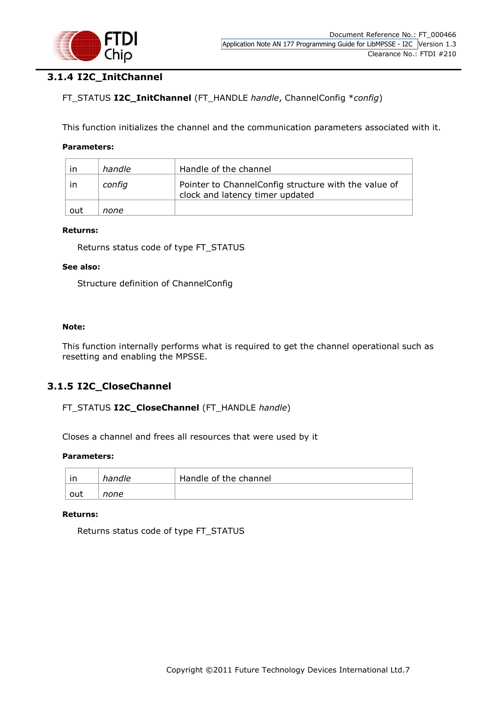

## <span id="page-7-0"></span>**3.1.4 I2C\_InitChannel**

### FT\_STATUS **I2C\_InitChannel** (FT\_HANDLE *handle*, ChannelConfig \**config*)

This function initializes the channel and the communication parameters associated with it.

#### **Parameters:**

| ın  | handle | Handle of the channel                                                                   |  |
|-----|--------|-----------------------------------------------------------------------------------------|--|
| ın  | config | Pointer to ChannelConfig structure with the value of<br>clock and latency timer updated |  |
| out | none   |                                                                                         |  |

#### **Returns:**

Returns status code of type FT\_STATUS

#### **See also:**

Structure definition of ChannelConfig

#### **Note:**

This function internally performs what is required to get the channel operational such as resetting and enabling the MPSSE.

#### <span id="page-7-1"></span>**3.1.5 I2C\_CloseChannel**

#### FT\_STATUS **I2C\_CloseChannel** (FT\_HANDLE *handle*)

Closes a channel and frees all resources that were used by it

#### **Parameters:**

| ın  | handle | Handle of the channel |  |  |
|-----|--------|-----------------------|--|--|
| out | none   |                       |  |  |

#### **Returns:**

Returns status code of type FT\_STATUS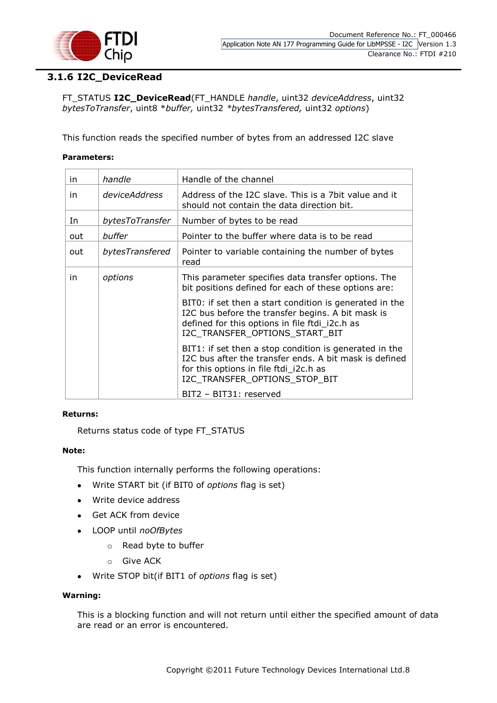

## <span id="page-8-0"></span>**3.1.6 I2C\_DeviceRead**

FT\_STATUS **I2C\_DeviceRead**(FT\_HANDLE *handle*, uint32 *deviceAddress*, uint32 *bytesToTransfer*, uint8 \**buffer,* uint32 *\*bytesTransfered,* uint32 *options*)

This function reads the specified number of bytes from an addressed I2C slave

#### **Parameters:**

| in  | handle          | Handle of the channel                                                                                                                                                                            |  |  |
|-----|-----------------|--------------------------------------------------------------------------------------------------------------------------------------------------------------------------------------------------|--|--|
| in  | deviceAddress   | Address of the I2C slave. This is a 7bit value and it<br>should not contain the data direction bit.                                                                                              |  |  |
| In  | bytesToTransfer | Number of bytes to be read                                                                                                                                                                       |  |  |
| out | buffer          | Pointer to the buffer where data is to be read                                                                                                                                                   |  |  |
| out | bytesTransfered | Pointer to variable containing the number of bytes<br>read                                                                                                                                       |  |  |
| in  | options         | This parameter specifies data transfer options. The<br>bit positions defined for each of these options are:                                                                                      |  |  |
|     |                 | BITO: if set then a start condition is generated in the<br>I2C bus before the transfer begins. A bit mask is<br>defined for this options in file ftdi_i2c.h as<br>I2C_TRANSFER_OPTIONS_START_BIT |  |  |
|     |                 | BIT1: if set then a stop condition is generated in the<br>I2C bus after the transfer ends. A bit mask is defined<br>for this options in file ftdi_i2c.h as<br>I2C_TRANSFER_OPTIONS_STOP_BIT      |  |  |
|     |                 | BIT2 - BIT31: reserved                                                                                                                                                                           |  |  |

#### **Returns:**

Returns status code of type FT\_STATUS

#### **Note:**

This function internally performs the following operations:

- $\bullet$ Write START bit (if BIT0 of *options* flag is set)
- Write device address
- Get ACK from device
- LOOP until *noOfBytes*
	- o Read byte to buffer
	- o Give ACK
- Write STOP bit(if BIT1 of *options* flag is set)  $\bullet$

#### **Warning:**

This is a blocking function and will not return until either the specified amount of data are read or an error is encountered.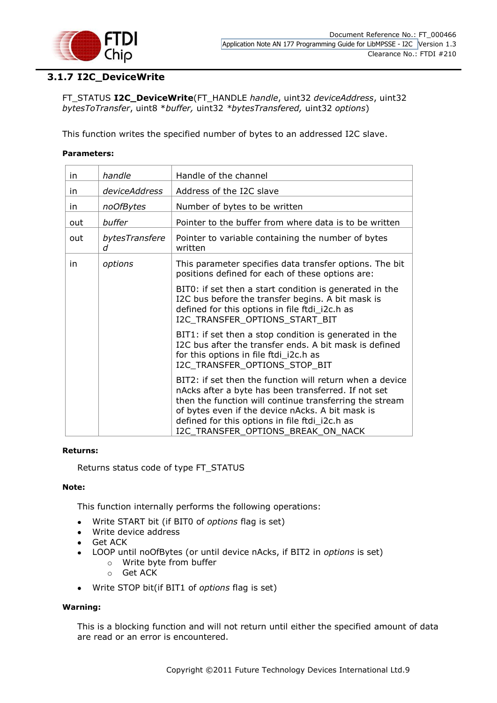

## <span id="page-9-0"></span>**3.1.7 I2C\_DeviceWrite**

FT\_STATUS **I2C\_DeviceWrite**(FT\_HANDLE *handle*, uint32 *deviceAddress*, uint32 *bytesToTransfer*, uint8 \**buffer,* uint32 *\*bytesTransfered,* uint32 *options*)

This function writes the specified number of bytes to an addressed I2C slave.

#### **Parameters:**

| in. | handle              | Handle of the channel                                                                                                                                                                                                                                                                                                  |  |  |
|-----|---------------------|------------------------------------------------------------------------------------------------------------------------------------------------------------------------------------------------------------------------------------------------------------------------------------------------------------------------|--|--|
| in. | deviceAddress       | Address of the I2C slave                                                                                                                                                                                                                                                                                               |  |  |
| in. | noOfBytes           | Number of bytes to be written                                                                                                                                                                                                                                                                                          |  |  |
| out | buffer              | Pointer to the buffer from where data is to be written                                                                                                                                                                                                                                                                 |  |  |
| out | bytesTransfere<br>d | Pointer to variable containing the number of bytes<br>written                                                                                                                                                                                                                                                          |  |  |
| in  | options             | This parameter specifies data transfer options. The bit<br>positions defined for each of these options are:                                                                                                                                                                                                            |  |  |
|     |                     | BITO: if set then a start condition is generated in the<br>I2C bus before the transfer begins. A bit mask is<br>defined for this options in file ftdi_i2c.h as<br>I2C TRANSFER OPTIONS START BIT                                                                                                                       |  |  |
|     |                     | BIT1: if set then a stop condition is generated in the<br>I2C bus after the transfer ends. A bit mask is defined<br>for this options in file ftdi_i2c.h as<br>I2C_TRANSFER_OPTIONS_STOP_BIT                                                                                                                            |  |  |
|     |                     | BIT2: if set then the function will return when a device<br>nAcks after a byte has been transferred. If not set<br>then the function will continue transferring the stream<br>of bytes even if the device nAcks. A bit mask is<br>defined for this options in file ftdi_i2c.h as<br>I2C TRANSFER OPTIONS BREAK ON NACK |  |  |

#### **Returns:**

Returns status code of type FT\_STATUS

#### **Note:**

This function internally performs the following operations:

- Write START bit (if BIT0 of *options* flag is set)  $\bullet$
- Write device address
- Get ACK  $\bullet$ 
	- LOOP until noOfBytes (or until device nAcks, if BIT2 in *options* is set)
		- o Write byte from buffer
		- o Get ACK
- Write STOP bit(if BIT1 of *options* flag is set)  $\bullet$

#### **Warning:**

This is a blocking function and will not return until either the specified amount of data are read or an error is encountered.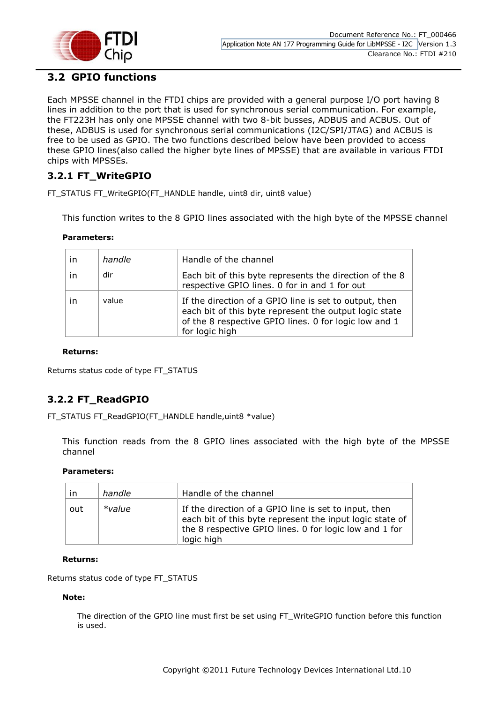

## <span id="page-10-0"></span>**3.2 GPIO functions**

Each MPSSE channel in the FTDI chips are provided with a general purpose I/O port having 8 lines in addition to the port that is used for synchronous serial communication. For example, the FT223H has only one MPSSE channel with two 8-bit busses, ADBUS and ACBUS. Out of these, ADBUS is used for synchronous serial communications (I2C/SPI/JTAG) and ACBUS is free to be used as GPIO. The two functions described below have been provided to access these GPIO lines(also called the higher byte lines of MPSSE) that are available in various FTDI chips with MPSSEs.

## <span id="page-10-1"></span>**3.2.1 FT\_WriteGPIO**

FT\_STATUS FT\_WriteGPIO(FT\_HANDLE handle, uint8 dir, uint8 value)

This function writes to the 8 GPIO lines associated with the high byte of the MPSSE channel

#### **Parameters:**

| <i>in</i> | handle | Handle of the channel                                                                                                                                                                       |
|-----------|--------|---------------------------------------------------------------------------------------------------------------------------------------------------------------------------------------------|
| in        | dir    | Each bit of this byte represents the direction of the 8<br>respective GPIO lines. 0 for in and 1 for out                                                                                    |
| in        | value  | If the direction of a GPIO line is set to output, then<br>each bit of this byte represent the output logic state<br>of the 8 respective GPIO lines. 0 for logic low and 1<br>for logic high |

#### **Returns:**

Returns status code of type FT\_STATUS

## <span id="page-10-2"></span>**3.2.2 FT\_ReadGPIO**

FT\_STATUS FT\_ReadGPIO(FT\_HANDLE handle,uint8 \*value)

This function reads from the 8 GPIO lines associated with the high byte of the MPSSE channel

#### **Parameters:**

| in. | handle    | Handle of the channel                                                                                                                                                                     |
|-----|-----------|-------------------------------------------------------------------------------------------------------------------------------------------------------------------------------------------|
| out | $*$ value | If the direction of a GPIO line is set to input, then<br>each bit of this byte represent the input logic state of<br>the 8 respective GPIO lines. 0 for logic low and 1 for<br>logic high |

#### **Returns:**

Returns status code of type FT\_STATUS

#### **Note:**

The direction of the GPIO line must first be set using FT\_WriteGPIO function before this function is used.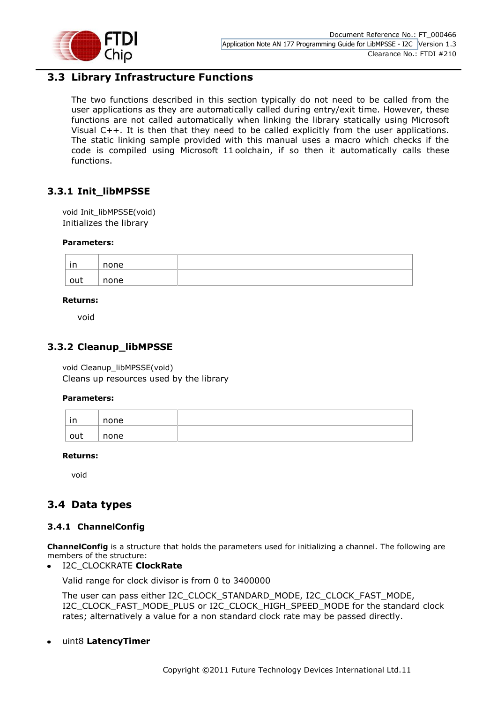

## <span id="page-11-0"></span>**3.3 Library Infrastructure Functions**

The two functions described in this section typically do not need to be called from the user applications as they are automatically called during entry/exit time. However, these functions are not called automatically when linking the library statically using Microsoft Visual C++. It is then that they need to be called explicitly from the user applications. The static linking sample provided with this manual uses a macro which checks if the code is compiled using Microsoft 11 oolchain, if so then it automatically calls these functions.

## <span id="page-11-1"></span>**3.3.1 Init\_libMPSSE**

void Init\_libMPSSE(void) Initializes the library

#### **Parameters:**

| in  | none |  |
|-----|------|--|
| out | none |  |

#### **Returns:**

void

#### <span id="page-11-2"></span>**3.3.2 Cleanup\_libMPSSE**

void Cleanup\_libMPSSE(void) Cleans up resources used by the library

#### **Parameters:**

| ın  | none |  |
|-----|------|--|
| out | none |  |

#### **Returns:**

void

## <span id="page-11-3"></span>**3.4 Data types**

#### <span id="page-11-4"></span>**3.4.1 ChannelConfig**

**ChannelConfig** is a structure that holds the parameters used for initializing a channel. The following are members of the structure:

#### I2C\_CLOCKRATE **ClockRate**

Valid range for clock divisor is from 0 to 3400000

The user can pass either I2C\_CLOCK\_STANDARD\_MODE, I2C\_CLOCK\_FAST\_MODE, I2C\_CLOCK\_FAST\_MODE\_PLUS or I2C\_CLOCK\_HIGH\_SPEED\_MODE for the standard clock rates; alternatively a value for a non standard clock rate may be passed directly.

uint8 **LatencyTimer**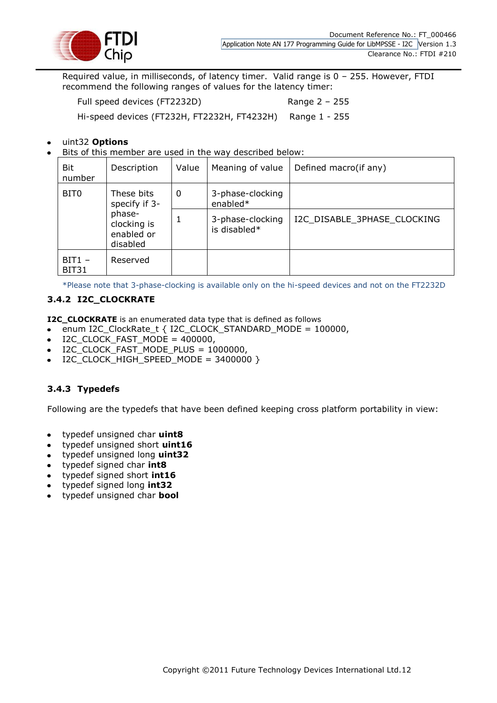

Required value, in milliseconds, of latency timer. Valid range is 0 – 255. However, FTDI recommend the following ranges of values for the latency timer:

Full speed devices (FT2232D) Range 2 - 255

Hi-speed devices (FT232H, FT2232H, FT4232H) Range 1 - 255

#### uint32 **Options**

Bits of this member are used in the way described below:

| Bit<br>number            | Description                                                                    | Value       | Meaning of value                 | Defined macro(if any)       |
|--------------------------|--------------------------------------------------------------------------------|-------------|----------------------------------|-----------------------------|
| BIT <sub>0</sub>         | These bits<br>specify if 3-<br>phase-<br>clocking is<br>enabled or<br>disabled | $\mathbf 0$ | 3-phase-clocking<br>enabled*     |                             |
|                          |                                                                                | 1           | 3-phase-clocking<br>is disabled* | I2C DISABLE 3PHASE CLOCKING |
| $BIT1 -$<br><b>BIT31</b> | Reserved                                                                       |             |                                  |                             |

\*Please note that 3-phase-clocking is available only on the hi-speed devices and not on the FT2232D

#### <span id="page-12-0"></span>**3.4.2 I2C\_CLOCKRATE**

**I2C\_CLOCKRATE** is an enumerated data type that is defined as follows

- enum I2C\_ClockRate\_t { I2C\_CLOCK\_STANDARD\_MODE = 100000,
- I2C\_CLOCK\_FAST\_MODE =  $400000$ ,
- I2C\_CLOCK\_FAST\_MODE\_PLUS = 1000000,
- $\bullet$  I2C CLOCK HIGH SPEED MODE = 3400000 }

#### <span id="page-12-1"></span>**3.4.3 Typedefs**

Following are the typedefs that have been defined keeping cross platform portability in view:

- typedef unsigned char **uint8**  $\bullet$
- typedef unsigned short **uint16**
- typedef unsigned long **uint32**
- typedef signed char **int8**
- typedef signed short **int16**
- typedef signed long **int32**
- typedef unsigned char **bool**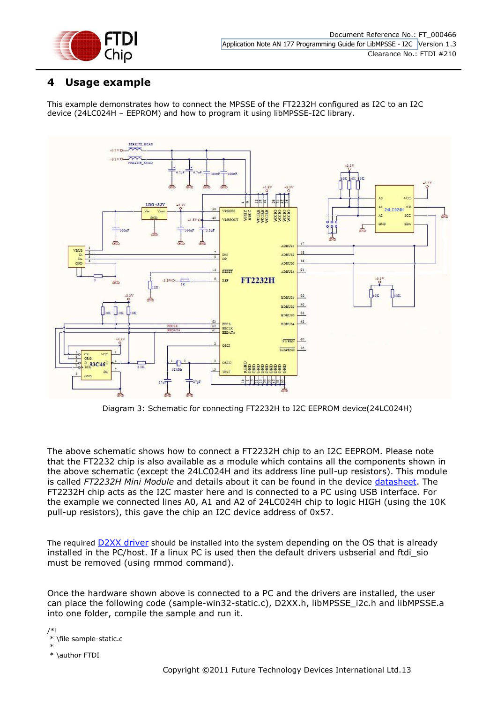

## <span id="page-13-0"></span>**4 Usage example**

This example demonstrates how to connect the MPSSE of the FT2232H configured as I2C to an I2C device (24LC024H – EEPROM) and how to program it using libMPSSE-I2C library.



Diagram 3: Schematic for connecting FT2232H to I2C EEPROM device(24LC024H)

The above schematic shows how to connect a FT2232H chip to an I2C EEPROM. Please note that the FT2232 chip is also available as a module which contains all the components shown in the above schematic (except the 24LC024H and its address line pull-up resistors). This module is called *FT2232H Mini Module* and details about it can be found in the device [datasheet.](http://www.ftdichip.com/Support/Documents/DataSheets/Modules/DS_FT2232H_Mini_Module.pdf) The FT2232H chip acts as the I2C master here and is connected to a PC using USB interface. For the example we connected lines A0, A1 and A2 of 24LC024H chip to logic HIGH (using the 10K pull-up resistors), this gave the chip an I2C device address of 0x57.

The required **[D2XX driver](http://www.ftdichip.com/Drivers/D2XX.htm)** should be installed into the system depending on the OS that is already installed in the PC/host. If a linux PC is used then the default drivers usbserial and ftdi\_sio must be removed (using rmmod command).

Once the hardware shown above is connected to a PC and the drivers are installed, the user can place the following code (sample-win32-static.c), D2XX.h, libMPSSE\_i2c.h and libMPSSE.a into one folder, compile the sample and run it.

/\*! \file sample-static.c

\* \* \author FTDI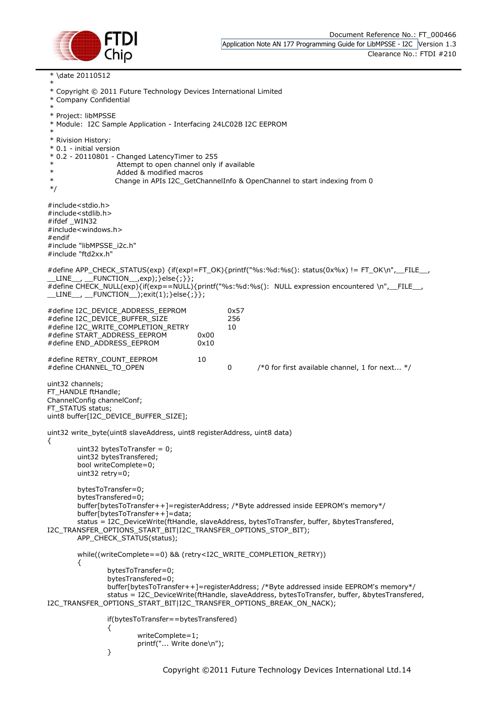

\* \date 20110512

\* \* Copyright © 2011 Future Technology Devices International Limited \* Company Confidential \* \* Project: libMPSSE \* Module: I2C Sample Application - Interfacing 24LC02B I2C EEPROM \* \* Rivision History: \* 0.1 - initial version \* 0.2 - 20110801 - Changed LatencyTimer to 255 Attempt to open channel only if available Added & modified macros \* Change in APIs I2C\_GetChannelInfo & OpenChannel to start indexing from 0 \*/ #include<stdio.h> #include<stdlib.h> #ifdef \_WIN32 #include<windows.h> #endif #include "libMPSSE\_i2c.h" #include "ftd2xx.h" #define APP\_CHECK\_STATUS(exp) {if(exp!=FT\_OK){printf("%s:%d:%s(): status(0x%x) != FT\_OK\n",\_\_FILE\_\_,  $LINE_{-}$ ,  $LINE_{-}$   $\rightarrow$  FUNCTION $_{-}$ , exp); }else{; } }; #define CHECK\_NULL(exp){if(exp==NULL){printf("%s:%d:%s(): NULL expression encountered \n",\_\_FILE\_\_,  $LINE_{\ldots}$ ,  $LINEC$  FUNCTION  $\ldots$ ); exit(1); }else{;}}; #define I2C\_DEVICE\_ADDRESS\_EEPROM 0x57 #define I2C\_DEVICE\_BUFFER\_SIZE 256 #define I2C\_WRITE\_COMPLETION\_RETRY 10 #define START\_ADDRESS\_EEPROM 0x00 #define END\_ADDRESS\_EEPROM 0x10 #define RETRY\_COUNT\_EEPROM 10 #define CHANNEL\_TO\_OPEN 0 /\*0 for first available channel, 1 for next... \*/ uint32 channels; FT\_HANDLE ftHandle: ChannelConfig channelConf; FT\_STATUS status: uint8 buffer[I2C\_DEVICE\_BUFFER\_SIZE]; uint32 write\_byte(uint8 slaveAddress, uint8 registerAddress, uint8 data) { uint32 bytesToTransfer = 0; uint32 bytesTransfered; bool writeComplete=0; uint32 retry=0; bytesToTransfer=0; bytesTransfered=0; buffer[bytesToTransfer++]=registerAddress; /\*Byte addressed inside EEPROM's memory\*/ buffer[bytesToTransfer++]=data; status = I2C\_DeviceWrite(ftHandle, slaveAddress, bytesToTransfer, buffer, &bytesTransfered, I2C\_TRANSFER\_OPTIONS\_START\_BIT|I2C\_TRANSFER\_OPTIONS\_STOP\_BIT); APP\_CHECK\_STATUS(status); while((writeComplete==0) && (retry<I2C\_WRITE\_COMPLETION\_RETRY)) { bytesToTransfer=0; bytesTransfered=0; buffer[bytesToTransfer++]=registerAddress; /\*Byte addressed inside EEPROM's memory\*/ status = I2C\_DeviceWrite(ftHandle, slaveAddress, bytesToTransfer, buffer, &bytesTransfered, I2C\_TRANSFER\_OPTIONS\_START\_BIT|I2C\_TRANSFER\_OPTIONS\_BREAK\_ON\_NACK); if(bytesToTransfer==bytesTransfered) { writeComplete=1; printf("... Write done\n"); }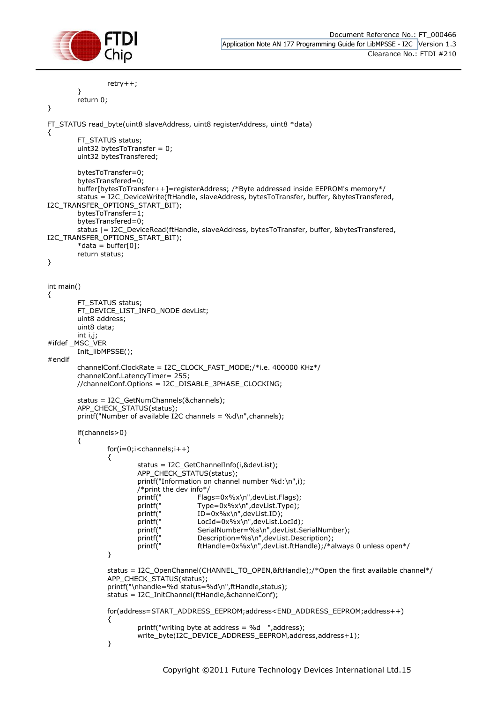

```
retry++;
```
} return 0;

```
}
```
{

```
FT_STATUS read_byte(uint8 slaveAddress, uint8 registerAddress, uint8 *data)
```
FT\_STATUS status; uint32 bytesToTransfer = 0; uint32 bytesTransfered;

```
bytesToTransfer=0;
         bytesTransfered=0;
         buffer[bytesToTransfer++]=registerAddress; /*Byte addressed inside EEPROM's memory*/
         status = I2C_DeviceWrite(ftHandle, slaveAddress, bytesToTransfer, buffer, &bytesTransfered, 
I2C_TRANSFER_OPTIONS_START_BIT);
         bytesToTransfer=1;
         bytesTransfered=0;
         status |= I2C_DeviceRead(ftHandle, slaveAddress, bytesToTransfer, buffer, &bytesTransfered, 
I2C_TRANSFER_OPTIONS_START_BIT);
         *data = buffer[0];
         return status;
}
int main()
{
         FT_STATUS status;
         FT_DEVICE_LIST_INFO_NODE devList;
         uint8 address;
         uint8 data;
         int i,j;
#ifdef MSC_VER
         Init_libMPSSE();
#endif
         channelConf.ClockRate = I2C_CLOCK_FAST_MODE;/*i.e. 400000 KHz*/
         channelConf.LatencyTimer= 255;
         //channelConf.Options = I2C_DISABLE_3PHASE_CLOCKING;
         status = I2C_GetNumChannels(&channels);
         APP_CHECK_STATUS(status);
         printf("Number of available I2C channels = %d\n",channels);
         if(channels>0)
         {
                  for(i=0;i < channels;i++){
                           status = I2C_GetChannelInfo(i,&devList);
                           APP_CHECK_STATUS(status);
                           printf("Information on channel number %d:\n",i);
                           /*print the dev info*/
                           printf(" Flags=0x%x\n",devList.Flags);
                           printf(" Type=0x%x\n",devList.Type);<br>printf(" ID=0x%x\n",devList.ID);
                           printf(" ID=0x%x\n",devList.ID);<br>printf(" LocId=0x%x\n",devList.L
                           printf(" LocId=0x%x\n",devList.LocId);<br>printf(" SerialNumber=%s\n",devList.S
                           printf(" SerialNumber=%s\n",devList.SerialNumber);<br>printf(" Description=%s\n",devList.Description);
                           printf(" Description=%s\n",devList.Description);<br>printf(" ftHandle=0x%x\n",devList.ftHandle);/*a
                                             ftHandle=0x%x\n",devList.ftHandle);/*always 0 unless open*/
                  }
                  status = I2C_OpenChannel(CHANNEL_TO_OPEN,&ftHandle);/*Open the first available channel*/
                  APP_CHECK_STATUS(status);
                  printf("\nhandle=%d status=%d\n",ftHandle,status);
                  status = I2C_InitChannel(ftHandle,&channelConf);
                  for(address=START_ADDRESS_EEPROM;address<END_ADDRESS_EEPROM;address++)
                  {
                           printf("writing byte at address = %d ",address);
                           write_byte(I2C_DEVICE_ADDRESS_EEPROM,address,address+1);
                  }
```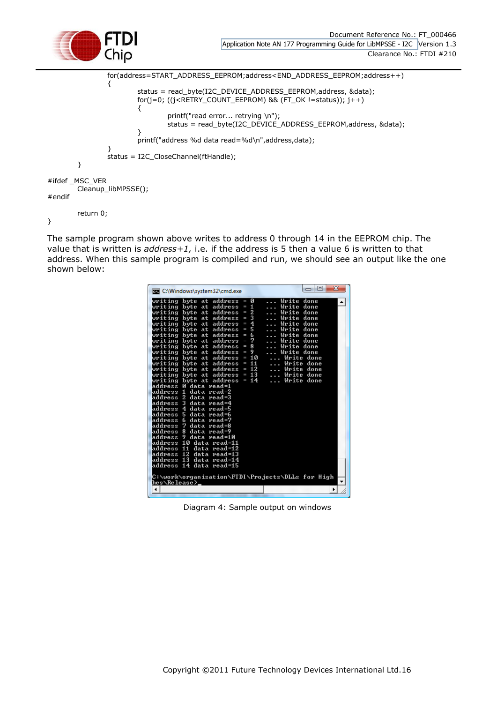

```
for(address=START_ADDRESS_EEPROM;address<END_ADDRESS_EEPROM;address++)
                {
                       status = read_byte(I2C_DEVICE_ADDRESS_EEPROM,address, &data);
                       for(j=0; ((j<RETRY_COUNT_EEPROM) && (FT_OK !=status)); j++)
                        {
                               printf("read error... retrying \n");
                               status = read_byte(I2C_DEVICE_ADDRESS_EEPROM,address, &data);
                        }
                        printf("address %d data read=%d\n",address,data);
                }
               status = I2C_CloseChannel(ftHandle);
       }
#ifdef _MSC_VER
        Cleanup_libMPSSE();
#endif
       return 0;
```
}

The sample program shown above writes to address 0 through 14 in the EEPROM chip. The value that is written is *address+1,* i.e. if the address is 5 then a value 6 is written to that address. When this sample program is compiled and run, we should see an output like the one shown below:

| ø<br>Write done<br>writing byte at address<br>I<br>.<br>$= 1$<br>writing byte at address<br>Write<br>done<br>$\sim$ $\sim$ $\sim$<br>writing byte at address = 2<br>Write done<br>$\sim$ .<br>writing byte at address = $3$<br>Write done<br>.<br>writing byte at address = $4$<br>Write done<br>$\overline{\phantom{a}}$<br>writing byte at address = $5$<br>Write done<br>$\overline{\phantom{a}}$<br>6<br>writing byte at address $=$<br>Write done<br>$\sim$<br>writing byte at address = 7<br>Write done<br>.<br>writing byte at address = $8$<br>Write done<br>$\sim$<br>writing byte at address = 9<br>Write done<br>.<br>writing byte at address = 10<br>Write done<br>writing byte at address = $11$<br>Write done<br>Write done |
|-------------------------------------------------------------------------------------------------------------------------------------------------------------------------------------------------------------------------------------------------------------------------------------------------------------------------------------------------------------------------------------------------------------------------------------------------------------------------------------------------------------------------------------------------------------------------------------------------------------------------------------------------------------------------------------------------------------------------------------------|
| writing byte at address = 12<br>writing byte at address = 13<br>Write done<br>writing byte at address = $14$<br>Write done<br>address Ø data read=1<br>address 1 data read=2<br>address 2 data read=3<br>address 3<br>data read=4                                                                                                                                                                                                                                                                                                                                                                                                                                                                                                         |

Diagram 4: Sample output on windows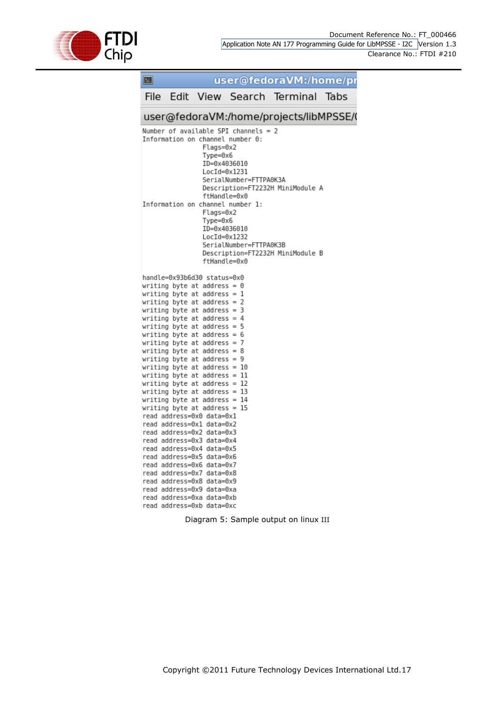

Diagram 5: Sample output on linux III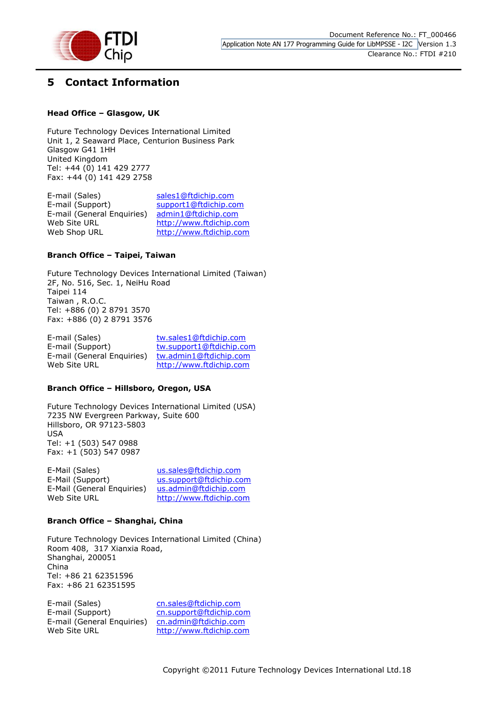

## <span id="page-18-0"></span>**5 Contact Information**

#### **Head Office – Glasgow, UK**

Future Technology Devices International Limited Unit 1, 2 Seaward Place, Centurion Business Park Glasgow G41 1HH United Kingdom Tel: +44 (0) 141 429 2777 Fax: +44 (0) 141 429 2758

E-mail (Sales) [sales1@ftdichip.com](mailto:sales1@ftdichip.com) E-mail (Support) [support1@ftdichip.com](mailto:support1@ftdichip.com) E-mail (General Enquiries) [admin1@ftdichip.com](mailto:admin1@ftdichip.com) Web Site URL [http://www.ftdichip.com](http://www.ftdichip.com/) Web Shop URL [http://www.ftdichip.com](http://www.ftdichip.com/)

#### **Branch Office – Taipei, Taiwan**

Future Technology Devices International Limited (Taiwan) 2F, No. 516, Sec. 1, NeiHu Road Taipei 114 Taiwan , R.O.C. Tel: +886 (0) 2 8791 3570 Fax: +886 (0) 2 8791 3576

E-mail (Sales) [tw.sales1@ftdichip.com](mailto:tw.sales1@ftdichip.com) E-mail (Support) [tw.support1@ftdichip.com](mailto:tw.support1@ftdichip.com) E-mail (General Enquiries) [tw.admin1@ftdichip.com](mailto:tw.admin1@ftdichip.com) Web Site URL [http://www.ftdichip.com](http://www.ftdichip.com/)

#### **Branch Office – Hillsboro, Oregon, USA**

Future Technology Devices International Limited (USA) 7235 NW Evergreen Parkway, Suite 600 Hillsboro, OR 97123-5803 USA Tel: +1 (503) 547 0988 Fax: +1 (503) 547 0987

| E-Mail (Sales)             | us.sales@ftdichip.com   |
|----------------------------|-------------------------|
| E-Mail (Support)           | us.support@ftdichip.com |
| E-Mail (General Enquiries) | us.admin@ftdichip.com   |
| Web Site URL               | http://www.ftdichip.com |

#### **Branch Office – Shanghai, China**

Future Technology Devices International Limited (China) Room 408, 317 Xianxia Road, Shanghai, 200051 China Tel: +86 21 62351596 Fax: +86 21 62351595

E-mail (Sales) [cn.sales@ftdichip.com](mailto:cn.sales@ftdichip.com) E-mail (Support) [cn.support@ftdichip.com](mailto:cn.support@ftdichip.com) E-mail (General Enquiries) [cn.admin@ftdichip.com](mailto:cn.admin@ftdichip.com) Web Site URL [http://www.ftdichip.com](http://www.ftdichip.com/)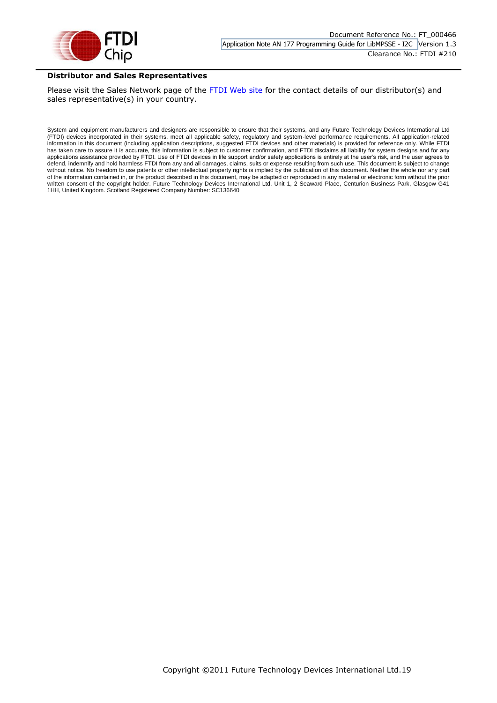

#### **Distributor and Sales Representatives**

Please visit the Sales Network page of the [FTDI Web site](http://ftdichip.com/) for the contact details of our distributor(s) and sales representative(s) in your country.

System and equipment manufacturers and designers are responsible to ensure that their systems, and any Future Technology Devices International Ltd (FTDI) devices incorporated in their systems, meet all applicable safety, regulatory and system-level performance requirements. All application-related information in this document (including application descriptions, suggested FTDI devices and other materials) is provided for reference only. While FTDI has taken care to assure it is accurate, this information is subject to customer confirmation, and FTDI disclaims all liability for system designs and for any applications assistance provided by FTDI. Use of FTDI devices in life support and/or safety applications is entirely at the user's risk, and the user agrees to defend, indemnify and hold harmless FTDI from any and all damages, claims, suits or expense resulting from such use. This document is subject to change without notice. No freedom to use patents or other intellectual property rights is implied by the publication of this document. Neither the whole nor any part of the information contained in, or the product described in this document, may be adapted or reproduced in any material or electronic form without the prior written consent of the copyright holder. Future Technology Devices International Ltd, Unit 1, 2 Seaward Place, Centurion Business Park, Glasgow G41 1HH, United Kingdom. Scotland Registered Company Number: SC136640